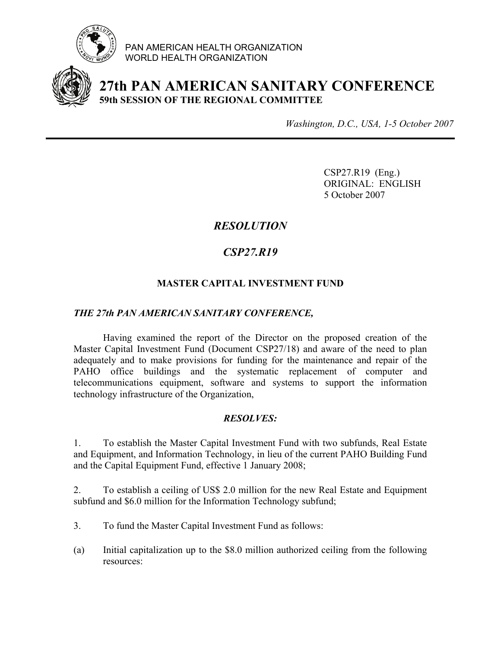

PAN AMERICAN HEALTH ORGANIZATION WORLD HEALTH ORGANIZATION



# **27th PAN AMERICAN SANITARY CONFERENCE 59th SESSION OF THE REGIONAL COMMITTEE**

*Washington, D.C., USA, 1-5 October 2007*

 CSP27.R19 (Eng.) ORIGINAL: ENGLISH 5 October 2007

## *RESOLUTION*

## *CSP27.R19*

### **MASTER CAPITAL INVESTMENT FUND**

#### *THE 27th PAN AMERICAN SANITARY CONFERENCE,*

 Having examined the report of the Director on the proposed creation of the Master Capital Investment Fund (Document CSP27/18) and aware of the need to plan adequately and to make provisions for funding for the maintenance and repair of the PAHO office buildings and the systematic replacement of computer and telecommunications equipment, software and systems to support the information technology infrastructure of the Organization,

### *RESOLVES:*

1. To establish the Master Capital Investment Fund with two subfunds, Real Estate and Equipment, and Information Technology, in lieu of the current PAHO Building Fund and the Capital Equipment Fund, effective 1 January 2008;

2. To establish a ceiling of US\$ 2.0 million for the new Real Estate and Equipment subfund and \$6.0 million for the Information Technology subfund;

- 3. To fund the Master Capital Investment Fund as follows:
- (a) Initial capitalization up to the \$8.0 million authorized ceiling from the following resources: